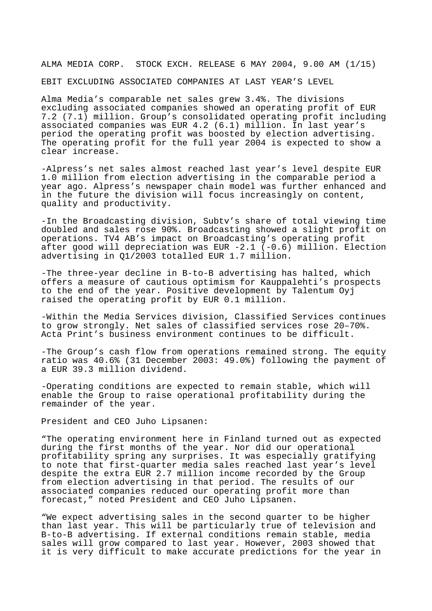ALMA MEDIA CORP. STOCK EXCH. RELEASE 6 MAY 2004, 9.00 AM (1/15)

EBIT EXCLUDING ASSOCIATED COMPANIES AT LAST YEAR'S LEVEL

Alma Media's comparable net sales grew 3.4%. The divisions excluding associated companies showed an operating profit of EUR 7.2 (7.1) million. Group's consolidated operating profit including associated companies was EUR 4.2 (6.1) million. In last year's period the operating profit was boosted by election advertising. The operating profit for the full year 2004 is expected to show a clear increase.

-Alpress's net sales almost reached last year's level despite EUR 1.0 million from election advertising in the comparable period a year ago. Alpress's newspaper chain model was further enhanced and in the future the division will focus increasingly on content, quality and productivity.

-In the Broadcasting division, Subtv's share of total viewing time doubled and sales rose 90%. Broadcasting showed a slight profit on operations. TV4 AB's impact on Broadcasting's operating profit after good will depreciation was EUR -2.1 (-0.6) million. Election advertising in Q1/2003 totalled EUR 1.7 million.

-The three-year decline in B-to-B advertising has halted, which offers a measure of cautious optimism for Kauppalehti's prospects to the end of the year. Positive development by Talentum Oyj raised the operating profit by EUR 0.1 million.

-Within the Media Services division, Classified Services continues to grow strongly. Net sales of classified services rose 20–70%. Acta Print's business environment continues to be difficult.

-The Group's cash flow from operations remained strong. The equity ratio was 40.6% (31 December 2003: 49.0%) following the payment of a EUR 39.3 million dividend.

-Operating conditions are expected to remain stable, which will enable the Group to raise operational profitability during the remainder of the year.

President and CEO Juho Lipsanen:

"The operating environment here in Finland turned out as expected during the first months of the year. Nor did our operational profitability spring any surprises. It was especially gratifying to note that first-quarter media sales reached last year's level despite the extra EUR 2.7 million income recorded by the Group from election advertising in that period. The results of our associated companies reduced our operating profit more than forecast," noted President and CEO Juho Lipsanen.

"We expect advertising sales in the second quarter to be higher than last year. This will be particularly true of television and B-to-B advertising. If external conditions remain stable, media sales will grow compared to last year. However, 2003 showed that it is very difficult to make accurate predictions for the year in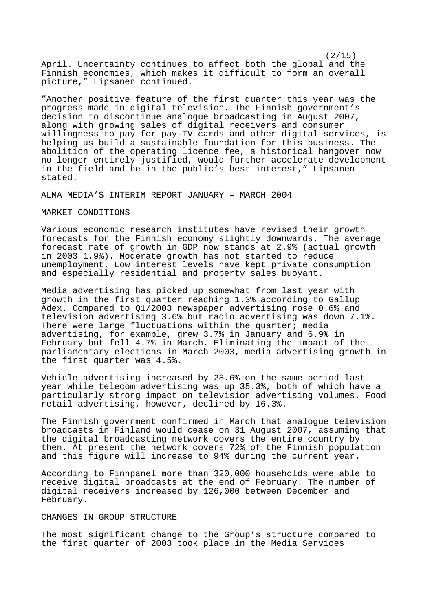$(2/15)$ April. Uncertainty continues to affect both the global and the Finnish economies, which makes it difficult to form an overall picture," Lipsanen continued.

"Another positive feature of the first quarter this year was the progress made in digital television. The Finnish government's decision to discontinue analogue broadcasting in August 2007, along with growing sales of digital receivers and consumer willingness to pay for pay-TV cards and other digital services, is helping us build a sustainable foundation for this business. The abolition of the operating licence fee, a historical hangover now no longer entirely justified, would further accelerate development in the field and be in the public's best interest," Lipsanen stated.

ALMA MEDIA'S INTERIM REPORT JANUARY – MARCH 2004

#### MARKET CONDITIONS

Various economic research institutes have revised their growth forecasts for the Finnish economy slightly downwards. The average forecast rate of growth in GDP now stands at 2.9% (actual growth in 2003 1.9%). Moderate growth has not started to reduce unemployment. Low interest levels have kept private consumption and especially residential and property sales buoyant.

Media advertising has picked up somewhat from last year with growth in the first quarter reaching 1.3% according to Gallup Adex. Compared to Q1/2003 newspaper advertising rose 0.6% and television advertising 3.6% but radio advertising was down 7.1%. There were large fluctuations within the quarter; media advertising, for example, grew 3.7% in January and 6.9% in February but fell 4.7% in March. Eliminating the impact of the parliamentary elections in March 2003, media advertising growth in the first quarter was 4.5%.

Vehicle advertising increased by 28.6% on the same period last year while telecom advertising was up 35.3%, both of which have a particularly strong impact on television advertising volumes. Food retail advertising, however, declined by 16.3%.

The Finnish government confirmed in March that analogue television broadcasts in Finland would cease on 31 August 2007, assuming that the digital broadcasting network covers the entire country by then. At present the network covers 72% of the Finnish population and this figure will increase to 94% during the current year.

According to Finnpanel more than 320,000 households were able to receive digital broadcasts at the end of February. The number of digital receivers increased by 126,000 between December and February.

#### CHANGES IN GROUP STRUCTURE

The most significant change to the Group's structure compared to the first quarter of 2003 took place in the Media Services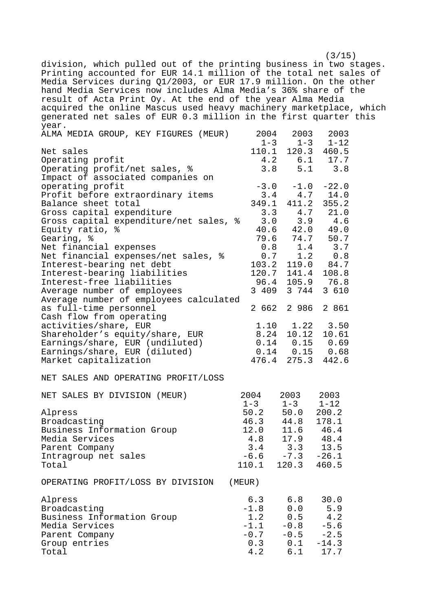$(3/15)$ division, which pulled out of the printing business in two stages. Printing accounted for EUR 14.1 million of the total net sales of Media Services during Q1/2003, or EUR 17.9 million. On the other hand Media Services now includes Alma Media's 36% share of the result of Acta Print Oy. At the end of the year Alma Media acquired the online Mascus used heavy machinery marketplace, which generated net sales of EUR 0.3 million in the first quarter this year.

| ALMA MEDIA GROUP, KEY FIGURES (MEUR)   | 2004                | 2003                                                                       | 2003       |
|----------------------------------------|---------------------|----------------------------------------------------------------------------|------------|
|                                        |                     | $1 - 3$ $1 - 3$                                                            | $1 - 12$   |
| Net sales                              |                     | 110.1 120.3 460.5<br>4.2 6.1 17.7                                          |            |
| Operating profit                       |                     |                                                                            |            |
| Operating profit/net sales, %          |                     | 3.8<br>5.1                                                                 | 3.8        |
| Impact of associated companies on      |                     |                                                                            |            |
| operating profit                       |                     | $-3.0 -1.0$                                                                | $-22.0$    |
| Profit before extraordinary items      |                     | $3.4$ $4.7$ $14.0$                                                         |            |
| Balance sheet total                    | 349.1               | 411.2                                                                      | 355.2      |
| Gross capital expenditure              |                     | $3.3 \t 4.7$                                                               | 21.0       |
| Gross capital expenditure/net sales, % |                     | 3.0<br>3.9                                                                 | 4.6        |
| Equity ratio, %                        |                     | 40.6 42.0 49.0                                                             |            |
| Gearing, %                             |                     | $79.6$ $74.7$<br>$14$                                                      | 50.7       |
| Net financial expenses                 | 0.8                 | 1.4                                                                        | 3.7        |
| Net financial expenses/net sales, %    | 0.7                 | 1.2                                                                        | 0.8        |
| Interest-bearing net debt              | 103.2               |                                                                            | 119.0 84.7 |
| Interest-bearing liabilities           |                     | 120.7 141.4                                                                | 108.8      |
| Interest-free liabilities              |                     | 96.4 105.9 76.8                                                            |            |
| Average number of employees            | 3 409               | 3 744                                                                      | 3 610      |
| Average number of employees calculated |                     |                                                                            |            |
| as full-time personnel                 |                     | 2 662 2 986                                                                | 2 861      |
| Cash flow from operating               |                     |                                                                            |            |
| activities/share, EUR                  |                     | $1.10$ $1.22$ $3.50$                                                       |            |
| Shareholder's equity/share, EUR        |                     | 8.24 10.12                                                                 | 10.61      |
| Earnings/share, EUR (undiluted)        |                     |                                                                            |            |
| Earnings/share, EUR (diluted)          |                     | $\begin{array}{cccc} 0.14 & 0.15 & 0.69 \\ 0.14 & 0.15 & 0.68 \end{array}$ |            |
| Market capitalization                  |                     | 476.4 275.3 442.6                                                          |            |
|                                        |                     |                                                                            |            |
| NET SALES AND OPERATING PROFIT/LOSS    |                     |                                                                            |            |
| NET SALES BY DIVISION (MEUR)           | 2004                | 2003                                                                       | 2003       |
|                                        | $1 - 3$             | $1 - 3$                                                                    | $1 - 12$   |
| Alpress                                | 50.2                | 50.0                                                                       | 200.2      |
| Broadcasting                           | 46.3                | 44.8                                                                       | 178.1      |
| Business Information Group             | 12.0<br>LZ.O<br>4.8 | 11.6                                                                       | 46.4       |
| Media Services                         |                     | $17.9$ $48.4$<br>3.3 $13.5$                                                |            |
| Parent Company                         | 3.4                 | 3.3                                                                        | 13.5       |
| Intragroup net sales                   | $-6.6$              | $-7.3 -26.1$                                                               |            |
| Total                                  |                     | 110.1 120.3 460.5                                                          |            |
|                                        |                     |                                                                            |            |
| OPERATING PROFIT/LOSS BY DIVISION      | (MEUR)              |                                                                            |            |
| Alpress                                | 6.3                 | 6.8                                                                        | 30.0       |
| Broadcasting                           | $-1.8$              | 0.0                                                                        | 5.9        |
| Business Information Group             | 1.2                 | 0.5                                                                        | 4.2        |
| Media Services                         | $-1.1$              | $-0.8$                                                                     | $-5.6$     |
| Parent Company                         | $-0.7$              | $-0.5 -2.5$                                                                |            |
| Group entries                          | 0.3                 | 0.1                                                                        | $-14.3$    |
| Total                                  | 4.2                 | 6.1                                                                        | 17.7       |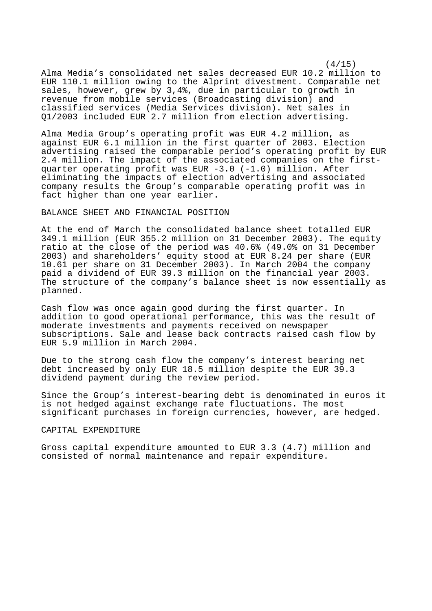$(4/15)$ Alma Media's consolidated net sales decreased EUR 10.2 million to EUR 110.1 million owing to the Alprint divestment. Comparable net sales, however, grew by 3,4%, due in particular to growth in revenue from mobile services (Broadcasting division) and classified services (Media Services division). Net sales in Q1/2003 included EUR 2.7 million from election advertising.

Alma Media Group's operating profit was EUR 4.2 million, as against EUR 6.1 million in the first quarter of 2003. Election advertising raised the comparable period's operating profit by EUR 2.4 million. The impact of the associated companies on the firstquarter operating profit was EUR -3.0 (-1.0) million. After eliminating the impacts of election advertising and associated company results the Group's comparable operating profit was in fact higher than one year earlier.

## BALANCE SHEET AND FINANCIAL POSITION

At the end of March the consolidated balance sheet totalled EUR 349.1 million (EUR 355.2 million on 31 December 2003). The equity ratio at the close of the period was 40.6% (49.0% on 31 December 2003) and shareholders' equity stood at EUR 8.24 per share (EUR 10.61 per share on 31 December 2003). In March 2004 the company paid a dividend of EUR 39.3 million on the financial year 2003. The structure of the company's balance sheet is now essentially as planned.

Cash flow was once again good during the first quarter. In addition to good operational performance, this was the result of moderate investments and payments received on newspaper subscriptions. Sale and lease back contracts raised cash flow by EUR 5.9 million in March 2004.

Due to the strong cash flow the company's interest bearing net debt increased by only EUR 18.5 million despite the EUR 39.3 dividend payment during the review period.

Since the Group's interest-bearing debt is denominated in euros it is not hedged against exchange rate fluctuations. The most significant purchases in foreign currencies, however, are hedged.

#### CAPITAL EXPENDITURE

Gross capital expenditure amounted to EUR 3.3 (4.7) million and consisted of normal maintenance and repair expenditure.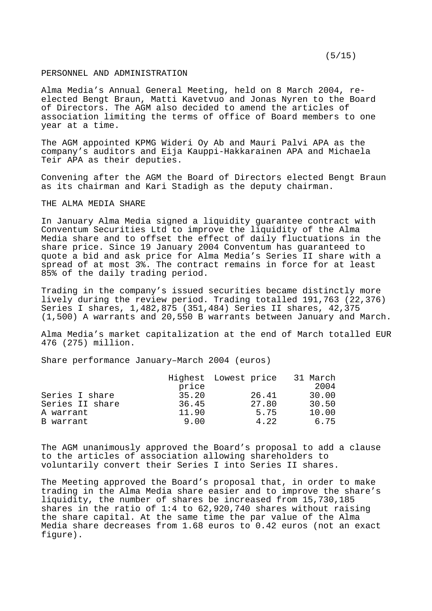#### PERSONNEL AND ADMINISTRATION

Alma Media's Annual General Meeting, held on 8 March 2004, reelected Bengt Braun, Matti Kavetvuo and Jonas Nyren to the Board of Directors. The AGM also decided to amend the articles of association limiting the terms of office of Board members to one year at a time.

The AGM appointed KPMG Wideri Oy Ab and Mauri Palvi APA as the company's auditors and Eija Kauppi-Hakkarainen APA and Michaela Teir APA as their deputies.

Convening after the AGM the Board of Directors elected Bengt Braun as its chairman and Kari Stadigh as the deputy chairman.

#### THE ALMA MEDIA SHARE

In January Alma Media signed a liquidity guarantee contract with Conventum Securities Ltd to improve the liquidity of the Alma Media share and to offset the effect of daily fluctuations in the share price. Since 19 January 2004 Conventum has guaranteed to quote a bid and ask price for Alma Media's Series II share with a spread of at most 3%. The contract remains in force for at least 85% of the daily trading period.

Trading in the company's issued securities became distinctly more lively during the review period. Trading totalled 191,763 (22,376) Series I shares, 1,482,875 (351,484) Series II shares, 42,375 (1,500) A warrants and 20,550 B warrants between January and March.

Alma Media's market capitalization at the end of March totalled EUR 476 (275) million.

Share performance January–March 2004 (euros)

|                 |       | Highest Lowest price | 31 March |
|-----------------|-------|----------------------|----------|
|                 | price |                      | 2004     |
| Series I share  | 35.20 | 26.41                | 30.00    |
| Series II share | 36.45 | 27.80                | 30.50    |
| A warrant       | 11.90 | 5.75                 | 10.00    |
| B warrant       | 9.00  | 4.22                 | 6.75     |

The AGM unanimously approved the Board's proposal to add a clause to the articles of association allowing shareholders to voluntarily convert their Series I into Series II shares.

The Meeting approved the Board's proposal that, in order to make trading in the Alma Media share easier and to improve the share's liquidity, the number of shares be increased from 15,730,185 shares in the ratio of 1:4 to 62,920,740 shares without raising the share capital. At the same time the par value of the Alma Media share decreases from 1.68 euros to 0.42 euros (not an exact figure).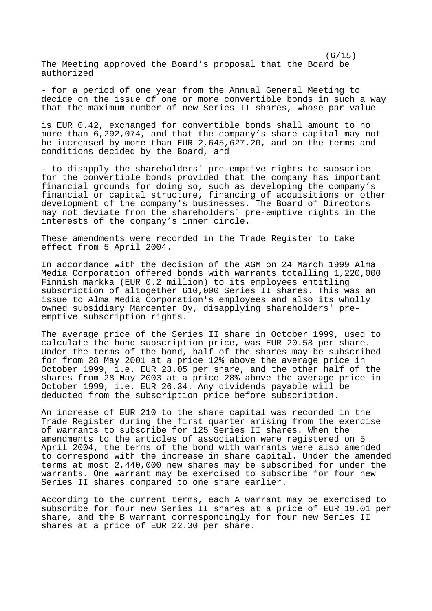$(6/15)$ The Meeting approved the Board's proposal that the Board be authorized

- for a period of one year from the Annual General Meeting to decide on the issue of one or more convertible bonds in such a way that the maximum number of new Series II shares, whose par value

is EUR 0.42, exchanged for convertible bonds shall amount to no more than 6,292,074, and that the company's share capital may not be increased by more than EUR 2,645,627.20, and on the terms and conditions decided by the Board, and

- to disapply the shareholders´ pre-emptive rights to subscribe for the convertible bonds provided that the company has important financial grounds for doing so, such as developing the company's financial or capital structure, financing of acquisitions or other development of the company's businesses. The Board of Directors may not deviate from the shareholders´ pre-emptive rights in the interests of the company's inner circle.

These amendments were recorded in the Trade Register to take effect from 5 April 2004.

In accordance with the decision of the AGM on 24 March 1999 Alma Media Corporation offered bonds with warrants totalling 1,220,000 Finnish markka (EUR 0.2 million) to its employees entitling subscription of altogether 610,000 Series II shares. This was an issue to Alma Media Corporation's employees and also its wholly owned subsidiary Marcenter Oy, disapplying shareholders' preemptive subscription rights.

The average price of the Series II share in October 1999, used to calculate the bond subscription price, was EUR 20.58 per share. Under the terms of the bond, half of the shares may be subscribed for from 28 May 2001 at a price 12% above the average price in October 1999, i.e. EUR 23.05 per share, and the other half of the shares from 28 May 2003 at a price 28% above the average price in October 1999, i.e. EUR 26.34. Any dividends payable will be deducted from the subscription price before subscription.

An increase of EUR 210 to the share capital was recorded in the Trade Register during the first quarter arising from the exercise of warrants to subscribe for 125 Series II shares. When the amendments to the articles of association were registered on 5 April 2004, the terms of the bond with warrants were also amended to correspond with the increase in share capital. Under the amended terms at most 2,440,000 new shares may be subscribed for under the warrants. One warrant may be exercised to subscribe for four new Series II shares compared to one share earlier.

According to the current terms, each A warrant may be exercised to subscribe for four new Series II shares at a price of EUR 19.01 per share, and the B warrant correspondingly for four new Series II shares at a price of EUR 22.30 per share.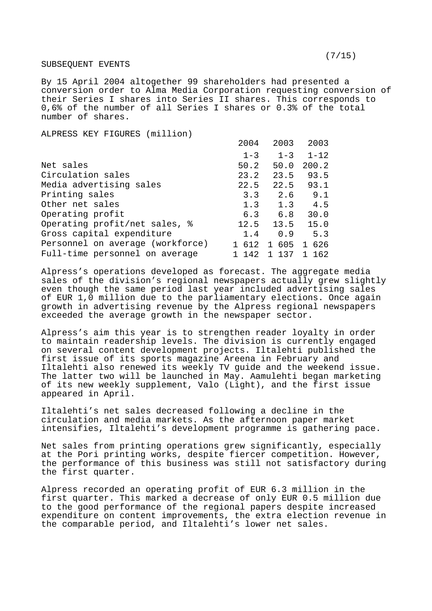#### SUBSEQUENT EVENTS

By 15 April 2004 altogether 99 shareholders had presented a conversion order to Alma Media Corporation requesting conversion of their Series I shares into Series II shares. This corresponds to 0,6% of the number of all Series I shares or 0.3% of the total number of shares.

ALPRESS KEY FIGURES (million)

|                                  | 2004    | 2003                | 2003     |
|----------------------------------|---------|---------------------|----------|
|                                  | $1 - 3$ | $1 - 3$             | $1 - 12$ |
| Net sales                        | 50.2    | 50.0                | 200.2    |
| Circulation sales                | 23.2    | 23.5                | 93.5     |
| Media advertising sales          | 22.5    | 22.5                | 93.1     |
| Printing sales                   | 3.3     | 2.6                 | 9.1      |
| Other net sales                  | 1.3     | 1.3                 | 4.5      |
| Operating profit                 | 6.3     | 6.8                 | 30.0     |
| Operating profit/net sales, %    | 12.5    | 13.5                | 15.0     |
| Gross capital expenditure        | 1.4     | 0.9                 | 5.3      |
| Personnel on average (workforce) | 612     | 605<br>$\mathbf{1}$ | 626<br>1 |
| Full-time personnel on average   | 142     | 137<br>1            | 162      |

Alpress's operations developed as forecast. The aggregate media sales of the division's regional newspapers actually grew slightly even though the same period last year included advertising sales of EUR 1,0 million due to the parliamentary elections. Once again growth in advertising revenue by the Alpress regional newspapers exceeded the average growth in the newspaper sector.

Alpress's aim this year is to strengthen reader loyalty in order to maintain readership levels. The division is currently engaged on several content development projects. Iltalehti published the first issue of its sports magazine Areena in February and Iltalehti also renewed its weekly TV guide and the weekend issue. The latter two will be launched in May. Aamulehti began marketing of its new weekly supplement, Valo (Light), and the first issue appeared in April.

Iltalehti's net sales decreased following a decline in the circulation and media markets. As the afternoon paper market intensifies, Iltalehti's development programme is gathering pace.

Net sales from printing operations grew significantly, especially at the Pori printing works, despite fiercer competition. However, the performance of this business was still not satisfactory during the first quarter.

Alpress recorded an operating profit of EUR 6.3 million in the first quarter. This marked a decrease of only EUR 0.5 million due to the good performance of the regional papers despite increased expenditure on content improvements, the extra election revenue in the comparable period, and Iltalehti's lower net sales.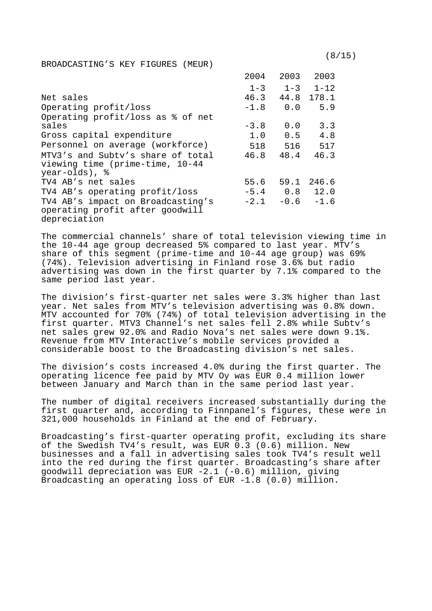$(8/15)$ 

2004 2003 2003

BROADCASTING'S KEY FIGURES (MEUR)

|                                                                                      | 2001 H  | 200 S      | ZUUS       |
|--------------------------------------------------------------------------------------|---------|------------|------------|
|                                                                                      | $1 - 3$ | $1 - 3$    | $1 - 12$   |
| Net sales                                                                            | 46.3    |            | 44.8 178.1 |
| Operating profit/loss                                                                | $-1.8$  | 0.0        | 5.9        |
| Operating profit/loss as % of net                                                    |         |            |            |
| sales                                                                                | $-3.8$  | 0.0        | 3.3        |
| Gross capital expenditure                                                            | 1.0     | 0.5        | 4.8        |
| Personnel on average (workforce)                                                     | 518     | 516        | 517        |
| MTV3's and Subty's share of total<br>viewing time (prime-time, 10-44                 | 46.8    | 48.4       | 46.3       |
| year-olds), %                                                                        |         |            |            |
| TV4 AB's net sales                                                                   | 55.6    | 59.1       | 246.6      |
| TV4 AB's operating profit/loss                                                       |         | $-5.4$ 0.8 | 12.0       |
| TV4 AB's impact on Broadcasting's<br>operating profit after goodwill<br>depreciation | $-2.1$  | $-0.6$     | $-1.6$     |

The commercial channels' share of total television viewing time in the 10-44 age group decreased 5% compared to last year. MTV's share of this segment (prime-time and 10-44 age group) was 69% (74%). Television advertising in Finland rose 3.6% but radio advertising was down in the first quarter by 7.1% compared to the same period last year.

The division's first-quarter net sales were 3.3% higher than last year. Net sales from MTV's television advertising was 0.8% down. MTV accounted for 70% (74%) of total television advertising in the first quarter. MTV3 Channel's net sales fell 2.8% while Subtv's net sales grew 92.0% and Radio Nova's net sales were down 9.1%. Revenue from MTV Interactive's mobile services provided a considerable boost to the Broadcasting division's net sales.

The division's costs increased 4.0% during the first quarter. The operating licence fee paid by MTV Oy was EUR 0.4 million lower between January and March than in the same period last year.

The number of digital receivers increased substantially during the first quarter and, according to Finnpanel's figures, these were in 321,000 households in Finland at the end of February.

Broadcasting's first-quarter operating profit, excluding its share of the Swedish TV4's result, was EUR 0.3 (0.6) million. New businesses and a fall in advertising sales took TV4's result well into the red during the first quarter. Broadcasting's share after goodwill depreciation was EUR -2.1 (-0.6) million, giving Broadcasting an operating loss of EUR -1.8 (0.0) million.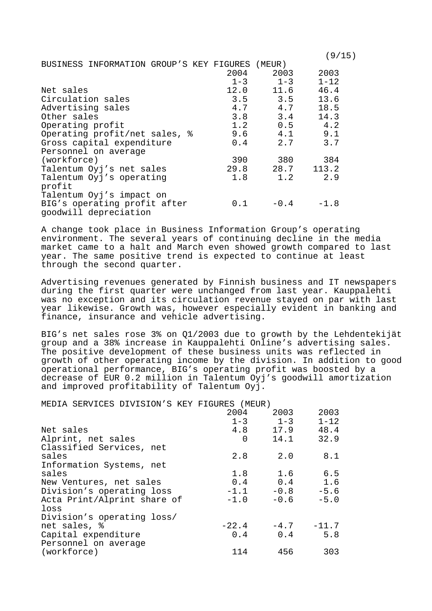|                                          |         |         | (9/15)   |
|------------------------------------------|---------|---------|----------|
| BUSINESS INFORMATION GROUP'S KEY FIGURES |         | (MEUR)  |          |
|                                          | 2004    | 2003    | 2003     |
|                                          | $1 - 3$ | $1 - 3$ | $1 - 12$ |
| Net sales                                | 12.0    | 11.6    | 46.4     |
| Circulation sales                        | 3.5     | 3.5     | 13.6     |
| Advertising sales                        | 4.7     | 4.7     | 18.5     |
| Other sales                              | 3.8     | 3.4     | 14.3     |
| Operating profit                         | 1.2     | 0.5     | 4.2      |
| Operating profit/net sales, %            | 9.6     | 4.1     | 9.1      |
| Gross capital expenditure                | 0.4     | 2.7     | 3.7      |
| Personnel on average                     |         |         |          |
| (workforce)                              | 390     | 380     | 384      |
| Talentum Oyj's net sales                 | 29.8    | 28.7    | 113.2    |
| Talentum Oyj's operating                 | 1.8     | 1.2     | 2.9      |
| profit                                   |         |         |          |
| Talentum Oyj's impact on                 |         |         |          |
| BIG's operating profit after             | 0.1     | $-0.4$  | $-1.8$   |
| goodwill depreciation                    |         |         |          |

A change took place in Business Information Group's operating environment. The several years of continuing decline in the media market came to a halt and March even showed growth compared to last year. The same positive trend is expected to continue at least through the second quarter.

Advertising revenues generated by Finnish business and IT newspapers during the first quarter were unchanged from last year. Kauppalehti was no exception and its circulation revenue stayed on par with last year likewise. Growth was, however especially evident in banking and finance, insurance and vehicle advertising.

BIG's net sales rose 3% on Q1/2003 due to growth by the Lehdentekijät group and a 38% increase in Kauppalehti Online's advertising sales. The positive development of these business units was reflected in growth of other operating income by the division. In addition to good operational performance, BIG's operating profit was boosted by a decrease of EUR 0.2 million in Talentum Oyj's goodwill amortization and improved profitability of Talentum Oyj.

MEDIA SERVICES DIVISION'S KEY FIGURES (MEUR)

|                             | 2004    | 2003    | 2003     |
|-----------------------------|---------|---------|----------|
|                             | $1 - 3$ | $1 - 3$ | $1 - 12$ |
| Net sales                   | 4.8     | 17.9    | 48.4     |
| Alprint, net sales          | 0       | 14.1    | 32.9     |
| Classified Services, net    |         |         |          |
| sales                       | 2.8     | 2.0     | 8.1      |
| Information Systems, net    |         |         |          |
| sales                       | 1.8     | 1.6     | 6.5      |
| New Ventures, net sales     | 0.4     | 0.4     | 1.6      |
| Division's operating loss   | $-1.1$  | $-0.8$  | $-5.6$   |
| Acta Print/Alprint share of | $-1.0$  | $-0.6$  | $-5.0$   |
| loss                        |         |         |          |
| Division's operating loss/  |         |         |          |
| net sales, %                | $-22.4$ | $-4.7$  | $-11.7$  |
| Capital expenditure         | 0.4     | 0.4     | 5.8      |
| Personnel on average        |         |         |          |
| (workforce)                 | 114     | 456     | 303      |
|                             |         |         |          |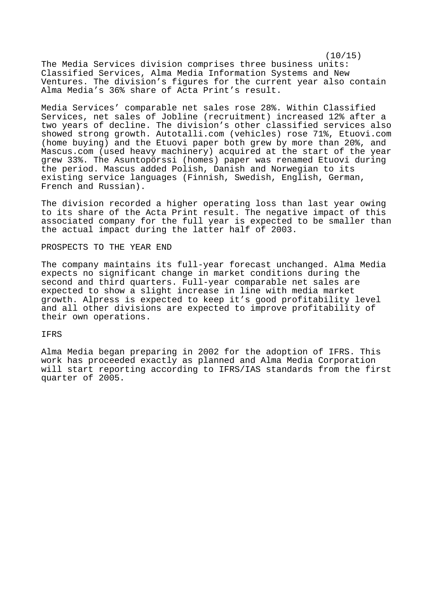$(10/15)$ The Media Services division comprises three business units: Classified Services, Alma Media Information Systems and New Ventures. The division's figures for the current year also contain Alma Media's 36% share of Acta Print's result.

Media Services' comparable net sales rose 28%. Within Classified Services, net sales of Jobline (recruitment) increased 12% after a two years of decline. The division's other classified services also showed strong growth. Autotalli.com (vehicles) rose 71%, Etuovi.com (home buying) and the Etuovi paper both grew by more than 20%, and Mascus.com (used heavy machinery) acquired at the start of the year grew 33%. The Asuntopörssi (homes) paper was renamed Etuovi during the period. Mascus added Polish, Danish and Norwegian to its existing service languages (Finnish, Swedish, English, German, French and Russian).

The division recorded a higher operating loss than last year owing to its share of the Acta Print result. The negative impact of this associated company for the full year is expected to be smaller than the actual impact during the latter half of 2003.

### PROSPECTS TO THE YEAR END

The company maintains its full-year forecast unchanged. Alma Media expects no significant change in market conditions during the second and third quarters. Full-year comparable net sales are expected to show a slight increase in line with media market growth. Alpress is expected to keep it's good profitability level and all other divisions are expected to improve profitability of their own operations.

#### IFRS

Alma Media began preparing in 2002 for the adoption of IFRS. This work has proceeded exactly as planned and Alma Media Corporation will start reporting according to IFRS/IAS standards from the first quarter of 2005.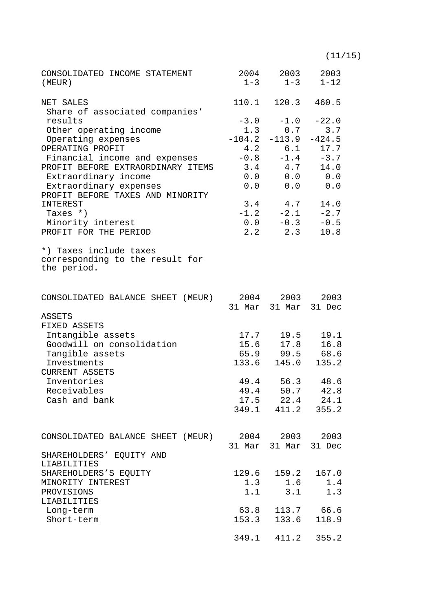(11/15)

| CONSOLIDATED INCOME STATEMENT<br>(MEUR)                                  |               | 2004 2003 2003<br>$1-3$ $1-3$ $1-12$   |                     |
|--------------------------------------------------------------------------|---------------|----------------------------------------|---------------------|
| NET SALES                                                                |               | 110.1 120.3 460.5                      |                     |
| Share of associated companies'<br>results                                |               | $-3.0$ $-1.0$ $-22.0$                  |                     |
| Other operating income                                                   |               | $1.3$ 0.7 3.7                          |                     |
| Operating expenses                                                       |               | $-104.2$ $-113.9$ $-424.5$             |                     |
| OPERATING PROFIT                                                         |               | 4.2 6.1 17.7                           |                     |
| Financial income and expenses                                            |               | $-0.8$ $-1.4$ $-3.7$                   |                     |
| PROFIT BEFORE EXTRAORDINARY ITEMS                                        |               | $3.4$ $4.7$                            | 14.0                |
| Extraordinary income                                                     |               | 0.0 0.0 0.0                            |                     |
| Extraordinary expenses<br>PROFIT BEFORE TAXES AND MINORITY               |               | 0.0 0.0 0.0                            |                     |
| INTEREST                                                                 |               | $3.4$ $4.7$                            | 14.0                |
| Taxes $*$ )                                                              |               | $-1.2$ $-2.1$ $-2.7$                   |                     |
| Minority interest                                                        |               | $0.0 -0.3 -0.5$                        |                     |
| PROFIT FOR THE PERIOD                                                    |               | $2.2$ $2.3$                            | 10.8                |
| *) Taxes include taxes<br>corresponding to the result for<br>the period. |               |                                        |                     |
| CONSOLIDATED BALANCE SHEET (MEUR)                                        |               | 2004 2003 2003<br>31 Mar 31 Mar 31 Dec |                     |
| ASSETS                                                                   |               |                                        |                     |
| FIXED ASSETS                                                             |               |                                        |                     |
| Intangible assets                                                        |               | $17.7$ 19.5 19.1                       |                     |
| Goodwill on consolidation                                                |               | 15.6 17.8 16.8                         |                     |
| Tangible assets                                                          |               | 65.9 99.5 68.6                         |                     |
| Investments                                                              |               | 133.6 145.0                            | 135.2               |
| <b>CURRENT ASSETS</b><br>Inventories                                     |               | 49.4 56.3 48.6                         |                     |
| Receivables                                                              |               | 49.4 50.7                              | 42.8                |
| Cash and bank                                                            |               | $17.5$ $22.4$ $24.1$                   |                     |
|                                                                          |               | 349.1 411.2 355.2                      |                     |
|                                                                          |               |                                        |                     |
| CONSOLIDATED BALANCE SHEET (MEUR)                                        |               | 2004 2003 2003                         |                     |
| SHAREHOLDERS' EQUITY AND                                                 |               | 31 Mar 31 Mar 31 Dec                   |                     |
| LIABILITIES                                                              |               |                                        |                     |
| SHAREHOLDERS'S EQUITY                                                    | 129.6         | 159.2                                  | 167.0               |
| MINORITY INTEREST                                                        | 1.3           | 1.6                                    | 1.4                 |
| PROVISIONS                                                               | 1.1           | 3.1                                    | 1.3                 |
| LIABILITIES                                                              |               |                                        |                     |
| Long-term<br>Short-term                                                  | 63.8<br>153.3 | 133.6                                  | 113.7 66.6<br>118.9 |
|                                                                          |               |                                        |                     |
|                                                                          | 349.1         | 411.2                                  | 355.2               |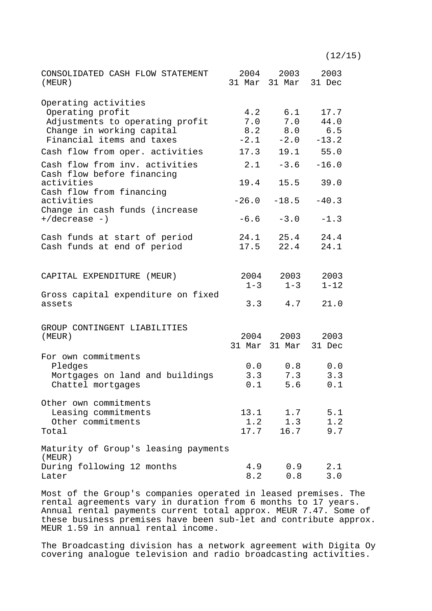CONSOLIDATED CASH FLOW STATEMENT (MEUR) 2004 31 Mar 31 Mar 31 Dec 2003 2003 Operating activities Operating profit  $4.2$  6.1 17.7<br>Adjustments to operating profit  $7.0$  7.0 44.0 Adjustments to operating profit Change in working capital 8.2 8.0 6.5 Financial items and taxes  $-2.1$   $-2.0$   $-13.2$ Cash flow from oper. activities 17.3 19.1 55.0 Cash flow from inv. activities  $2.1 -3.6 -16.0$ Cash flow before financing activities 19.4 15.5 39.0 Cash flow from financing activities -26.0 -18.5 -40.3 Change in cash funds (increase  $+/\text{decrease}$  -)  $-6.6$   $-3.0$   $-1.3$ Cash funds at start of period 24.1 25.4 24.4 Cash funds at end of period 17.5 22.4 24.1 CAPITAL EXPENDITURE (MEUR) 2004 2003 2003<br>1-3 1-12 1-3 1-3 1-12 Gross capital expenditure on fixed assets 3.3 4.7 21.0 GROUP CONTINGENT LIABILITIES<br>(MEUR) (MEUR) 2004 2003 2003 31 Mar 31 Mar 31 Dec For own commitments Pledges 0.0 0.8 0.0 Mortgages on land and buildings 3.3 7.3 3.3 Chattel mortgages 0.1 5.6 0.1 Other own commitments Leasing commitments 13.1 1.7 5.1 Other commitments 1.2 1.3 1.2<br>btal 17.7 16.7 9.7 Total 17.7 16.7 9.7 Maturity of Group's leasing payments (MEUR) During following 12 months 4.9 0.9 2.1 Later 8.2 0.8 3.0

Most of the Group's companies operated in leased premises. The rental agreements vary in duration from 6 months to 17 years. Annual rental payments current total approx. MEUR 7.47. Some of these business premises have been sub-let and contribute approx. MEUR 1.59 in annual rental income.

The Broadcasting division has a network agreement with Digita Oy covering analogue television and radio broadcasting activities.

# $(12/15)$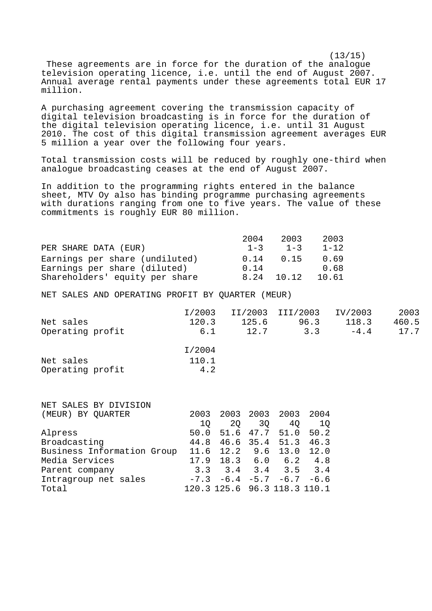$(13/15)$  These agreements are in force for the duration of the analogue television operating licence, i.e. until the end of August 2007. Annual average rental payments under these agreements total EUR 17 million.

A purchasing agreement covering the transmission capacity of digital television broadcasting is in force for the duration of the digital television operating licence, i.e. until 31 August 2010. The cost of this digital transmission agreement averages EUR 5 million a year over the following four years.

Total transmission costs will be reduced by roughly one-third when analogue broadcasting ceases at the end of August 2007.

In addition to the programming rights entered in the balance sheet, MTV Oy also has binding programme purchasing agreements with durations ranging from one to five years. The value of these commitments is roughly EUR 80 million.

|                                | 2004    | 2003       | 2003     |
|--------------------------------|---------|------------|----------|
| PER SHARE DATA (EUR)           | $1 - 3$ | $1 - 3$    | $1 - 12$ |
| Earnings per share (undiluted) | 0.14    | 0.15       | 0.69     |
| Earnings per share (diluted)   | 0.14    |            | 0.68     |
| Shareholders' equity per share |         | 8.24 10.12 | 10.61    |

NET SALES AND OPERATING PROFIT BY QUARTER (MEUR)

|                  | I/2003 |       | II/2003 III/2003 | IV/2003 | 2003  |
|------------------|--------|-------|------------------|---------|-------|
| Net sales        | 120.3  | 125.6 | 96.3             | 118.3   | 460.5 |
| Operating profit | 6.1    | 12.7  | 3.3              | $-4.4$  | 17.7  |
|                  | I/2004 |       |                  |         |       |

| Net sales        | 110.1 |  |
|------------------|-------|--|
| Operating profit | 4.2   |  |

| NET SALES BY DIVISION      |      |                              |      |             |        |
|----------------------------|------|------------------------------|------|-------------|--------|
| (MEUR) BY OUARTER          | 2003 | 2003                         | 2003 | 2003        | 2004   |
|                            | 10   | 20                           | 30   | 40          | 10     |
| Alpress                    | 50.0 | 51.6 47.7                    |      | 51.0        | 50.2   |
| Broadcasting               | 44.8 | 46.6                         | 35.4 | 51.3        | 46.3   |
| Business Information Group |      | $11.6$ 12.2                  | 9.6  | 13.0        | 12.0   |
| Media Services             | 17.9 | 18.3 6.0 6.2                 |      |             | 4.8    |
| Parent company             | 3.3  | 3.4                          |      | $3.4$ $3.5$ | 3.4    |
| Intragroup net sales       |      | $-7.3$ $-6.4$ $-5.7$ $-6.7$  |      |             | $-6.6$ |
| Total                      |      | 120.3 125.6 96.3 118.3 110.1 |      |             |        |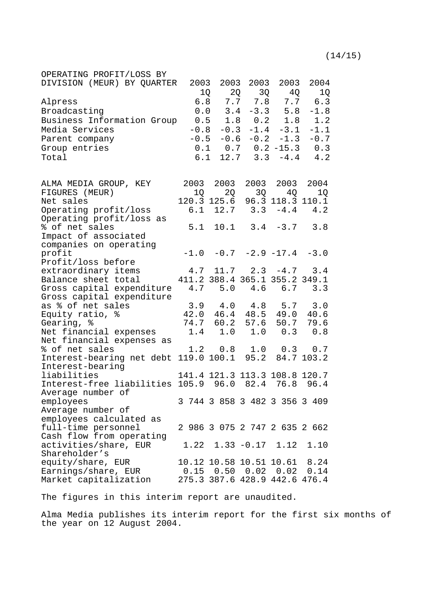| OPERATING PROFIT/LOSS BY                              |        |           |      |                                     |                                 |
|-------------------------------------------------------|--------|-----------|------|-------------------------------------|---------------------------------|
| DIVISION (MEUR) BY QUARTER                            | 2003   | 2003      | 2003 | 2003                                | 2004                            |
|                                                       | 1Q     | 2Q        |      | 3Q 4Q                               | 1Q                              |
| Alpress                                               |        |           |      | 6.8 7.7 7.8 7.7                     | 6.3                             |
| Broadcasting                                          |        | 0.0 3.4   |      | $-3.3$ 5.8                          | $-1.8$                          |
|                                                       |        |           |      |                                     | 1.2                             |
| Business Information Group                            |        |           |      | $0.5$ 1.8 0.2 1.8                   |                                 |
| Media Services                                        | $-0.8$ | $-0.3$    |      | $-1.4 -3.1$                         | $-1.1$                          |
| Parent company                                        |        |           |      | $-0.5$ $-0.6$ $-0.2$ $-1.3$         | $-0.7$                          |
| Group entries                                         |        |           |      |                                     | $0.1$ $0.7$ $0.2$ $-15.3$ $0.3$ |
| Total                                                 | 6.1    |           |      |                                     | $12.7$ $3.3$ $-4.4$ $4.2$       |
|                                                       |        |           |      |                                     |                                 |
| ALMA MEDIA GROUP, KEY                                 |        | 2003 2003 |      | 2003 2003 2004                      |                                 |
| FIGURES (MEUR)                                        |        | 2Q<br>1Q  |      | 3Q 4Q 1Q                            |                                 |
| Net sales                                             |        |           |      | 120.3 125.6 96.3 118.3 110.1        |                                 |
| Operating profit/loss                                 |        |           |      | $6.1$ $12.7$ $3.3$ $-4.4$           | 4.2                             |
| Operating profit/loss as                              |        |           |      |                                     |                                 |
| % of net sales                                        |        |           |      | $5.1$ $10.1$ $3.4$ $-3.7$           | 3.8                             |
| Impact of associated                                  |        |           |      |                                     |                                 |
| companies on operating                                |        |           |      |                                     |                                 |
| profit                                                |        |           |      | $-1.0$ $-0.7$ $-2.9$ $-17.4$ $-3.0$ |                                 |
| Profit/loss before                                    |        |           |      |                                     |                                 |
| extraordinary items                                   |        |           |      | $4.7$ 11.7 2.3 $-4.7$ 3.4           |                                 |
| Balance sheet total                                   |        |           |      | 411.2 388.4 365.1 355.2 349.1       |                                 |
| Gross capital expenditure                             |        |           |      | 4.7 5.0 4.6 6.7                     | 3.3                             |
| Gross capital expenditure                             |        |           |      |                                     |                                 |
| as % of net sales                                     |        |           |      | $3.9$ 4.0 4.8 5.7                   | 3.0                             |
| Equity ratio, %                                       |        |           |      | 42.0 46.4 48.5 49.0                 | 40.6                            |
|                                                       |        |           |      |                                     |                                 |
| Gearing, %                                            |        | 74.7 60.2 | 57.6 | 50.7                                | 79.6                            |
| Net financial expenses                                |        | $1.4$ 1.0 | 1.0  | 0.3                                 | 0.8                             |
| Net financial expenses as                             |        |           |      |                                     |                                 |
| % of net sales                                        |        |           |      | 1.2  0.8  1.0  0.3  0.7             |                                 |
| Interest-bearing net debt 119.0 100.1 95.2 84.7 103.2 |        |           |      |                                     |                                 |
| Interest-bearing                                      |        |           |      |                                     |                                 |
| liabilities                                           |        |           |      | 141.4 121.3 113.3 108.8 120.7       |                                 |
| Interest-free liabilities 105.9 96.0 82.4 76.8        |        |           |      |                                     | 96.4                            |
| Average number of                                     |        |           |      |                                     |                                 |
| employees                                             |        |           |      | 3 744 3 858 3 482 3 356 3 409       |                                 |
| Average number of                                     |        |           |      |                                     |                                 |
| employees calculated as                               |        |           |      |                                     |                                 |
| full-time personnel                                   |        |           |      | 2 986 3 075 2 747 2 635 2 662       |                                 |
| Cash flow from operating                              |        |           |      |                                     |                                 |
| activities/share, EUR                                 |        |           |      | $1.22$ $1.33$ $-0.17$ $1.12$        | 1.10                            |
|                                                       |        |           |      |                                     |                                 |
| Shareholder's                                         |        |           |      |                                     |                                 |
| equity/share, EUR                                     |        |           |      | 10.12 10.58 10.51 10.61 8.24        |                                 |
| Earnings/share, EUR                                   |        |           |      | $0.15$ 0.50 0.02 0.02               | 0.14                            |
| Market capitalization                                 |        |           |      | 275.3 387.6 428.9 442.6 476.4       |                                 |

The figures in this interim report are unaudited.

Alma Media publishes its interim report for the first six months of the year on 12 August 2004.